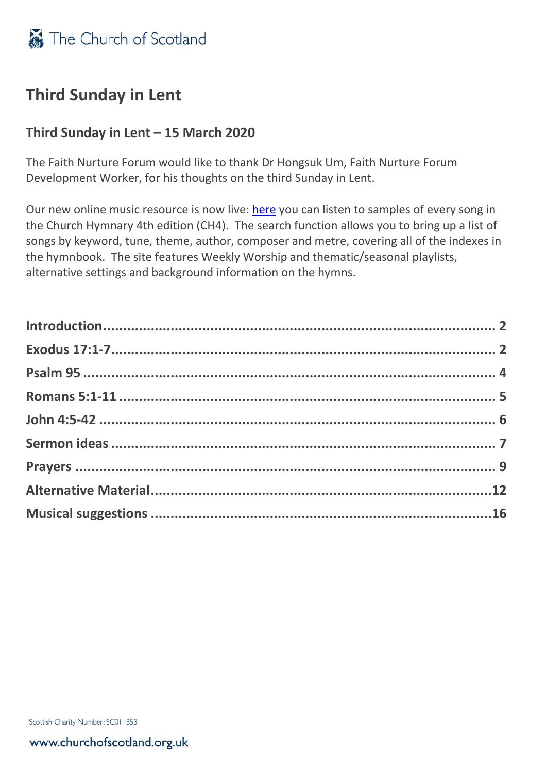

## **Third Sunday in Lent**

## **Third Sunday in Lent – 15 March 2020**

The Faith Nurture Forum would like to thank Dr Hongsuk Um, Faith Nurture Forum Development Worker, for his thoughts on the third Sunday in Lent.

Our new online music resource is now live: [here](https://music.churchofscotland.org.uk/) you can listen to samples of every song in the Church Hymnary 4th edition (CH4). The search function allows you to bring up a list of songs by keyword, tune, theme, author, composer and metre, covering all of the indexes in the hymnbook. The site features Weekly Worship and thematic/seasonal playlists, alternative settings and background information on the hymns.

Scottish Charity Number: SC011353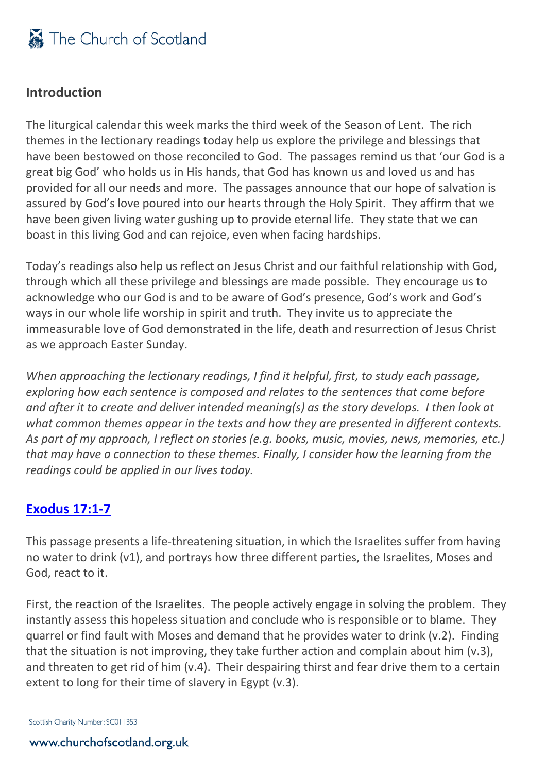

## <span id="page-1-0"></span>**Introduction**

The liturgical calendar this week marks the third week of the Season of Lent. The rich themes in the lectionary readings today help us explore the privilege and blessings that have been bestowed on those reconciled to God. The passages remind us that 'our God is a great big God' who holds us in His hands, that God has known us and loved us and has provided for all our needs and more. The passages announce that our hope of salvation is assured by God's love poured into our hearts through the Holy Spirit. They affirm that we have been given living water gushing up to provide eternal life. They state that we can boast in this living God and can rejoice, even when facing hardships.

Today's readings also help us reflect on Jesus Christ and our faithful relationship with God, through which all these privilege and blessings are made possible. They encourage us to acknowledge who our God is and to be aware of God's presence, God's work and God's ways in our whole life worship in spirit and truth. They invite us to appreciate the immeasurable love of God demonstrated in the life, death and resurrection of Jesus Christ as we approach Easter Sunday.

*When approaching the lectionary readings, I find it helpful, first, to study each passage, exploring how each sentence is composed and relates to the sentences that come before and after it to create and deliver intended meaning(s) as the story develops. I then look at what common themes appear in the texts and how they are presented in different contexts. As part of my approach, I reflect on stories (e.g. books, music, movies, news, memories, etc.) that may have a connection to these themes. Finally, I consider how the learning from the readings could be applied in our lives today.* 

## <span id="page-1-1"></span>**[Exodus 17:1-7](http://bible.oremus.org/?ql=443521309)**

This passage presents a life-threatening situation, in which the Israelites suffer from having no water to drink (v1), and portrays how three different parties, the Israelites, Moses and God, react to it.

First, the reaction of the Israelites. The people actively engage in solving the problem. They instantly assess this hopeless situation and conclude who is responsible or to blame. They quarrel or find fault with Moses and demand that he provides water to drink (v.2). Finding that the situation is not improving, they take further action and complain about him (v.3), and threaten to get rid of him (v.4). Their despairing thirst and fear drive them to a certain extent to long for their time of slavery in Egypt (v.3).

Scottish Charity Number: SC011353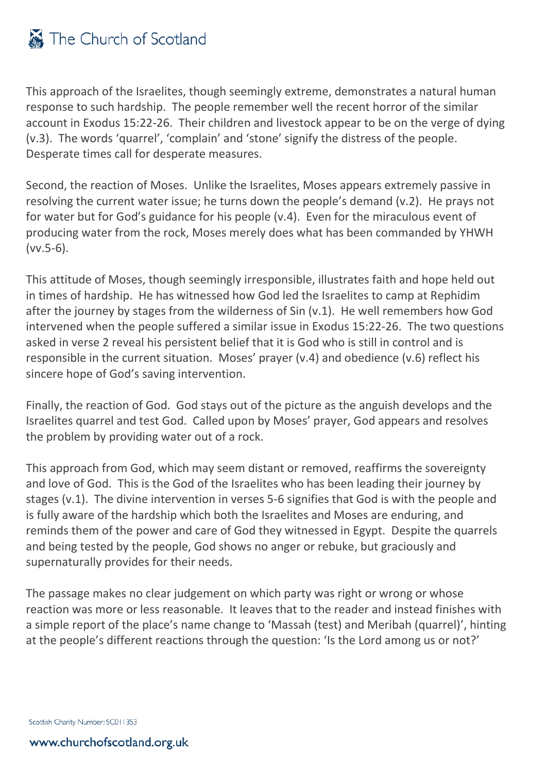

This approach of the Israelites, though seemingly extreme, demonstrates a natural human response to such hardship. The people remember well the recent horror of the similar account in Exodus 15:22-26. Their children and livestock appear to be on the verge of dying (v.3). The words 'quarrel', 'complain' and 'stone' signify the distress of the people. Desperate times call for desperate measures.

Second, the reaction of Moses. Unlike the Israelites, Moses appears extremely passive in resolving the current water issue; he turns down the people's demand (v.2). He prays not for water but for God's guidance for his people (v.4). Even for the miraculous event of producing water from the rock, Moses merely does what has been commanded by YHWH (vv.5-6).

This attitude of Moses, though seemingly irresponsible, illustrates faith and hope held out in times of hardship. He has witnessed how God led the Israelites to camp at Rephidim after the journey by stages from the wilderness of Sin (v.1). He well remembers how God intervened when the people suffered a similar issue in Exodus 15:22-26. The two questions asked in verse 2 reveal his persistent belief that it is God who is still in control and is responsible in the current situation. Moses' prayer (v.4) and obedience (v.6) reflect his sincere hope of God's saving intervention.

Finally, the reaction of God. God stays out of the picture as the anguish develops and the Israelites quarrel and test God. Called upon by Moses' prayer, God appears and resolves the problem by providing water out of a rock.

This approach from God, which may seem distant or removed, reaffirms the sovereignty and love of God. This is the God of the Israelites who has been leading their journey by stages (v.1). The divine intervention in verses 5-6 signifies that God is with the people and is fully aware of the hardship which both the Israelites and Moses are enduring, and reminds them of the power and care of God they witnessed in Egypt. Despite the quarrels and being tested by the people, God shows no anger or rebuke, but graciously and supernaturally provides for their needs.

The passage makes no clear judgement on which party was right or wrong or whose reaction was more or less reasonable. It leaves that to the reader and instead finishes with a simple report of the place's name change to 'Massah (test) and Meribah (quarrel)', hinting at the people's different reactions through the question: 'Is the Lord among us or not?'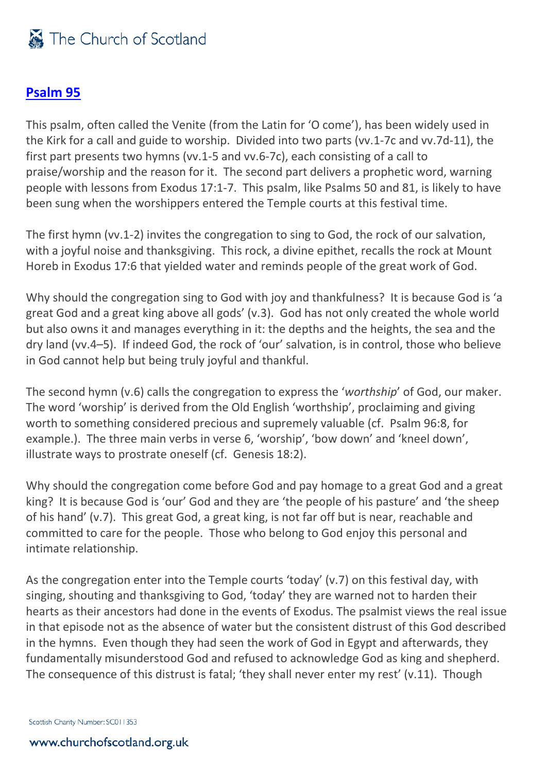## <span id="page-3-0"></span>**[Psalm 95](http://bible.oremus.org/?ql=443066478)**

This psalm, often called the Venite (from the Latin for 'O come'), has been widely used in the Kirk for a call and guide to worship. Divided into two parts (vv.1-7c and vv.7d-11), the first part presents two hymns (vv.1-5 and vv.6-7c), each consisting of a call to praise/worship and the reason for it. The second part delivers a prophetic word, warning people with lessons from Exodus 17:1-7. This psalm, like Psalms 50 and 81, is likely to have been sung when the worshippers entered the Temple courts at this festival time.

The first hymn (vv.1-2) invites the congregation to sing to God, the rock of our salvation, with a joyful noise and thanksgiving. This rock, a divine epithet, recalls the rock at Mount Horeb in Exodus 17:6 that yielded water and reminds people of the great work of God.

Why should the congregation sing to God with joy and thankfulness? It is because God is 'a great God and a great king above all gods' (v.3). God has not only created the whole world but also owns it and manages everything in it: the depths and the heights, the sea and the dry land (vv.4–5). If indeed God, the rock of 'our' salvation, is in control, those who believe in God cannot help but being truly joyful and thankful.

The second hymn (v.6) calls the congregation to express the '*worthship*' of God, our maker. The word 'worship' is derived from the Old English 'worthship', proclaiming and giving worth to something considered precious and supremely valuable (cf. Psalm 96:8, for example.). The three main verbs in verse 6, 'worship', 'bow down' and 'kneel down', illustrate ways to prostrate oneself (cf. Genesis 18:2).

Why should the congregation come before God and pay homage to a great God and a great king? It is because God is 'our' God and they are 'the people of his pasture' and 'the sheep of his hand' (v.7). This great God, a great king, is not far off but is near, reachable and committed to care for the people. Those who belong to God enjoy this personal and intimate relationship.

As the congregation enter into the Temple courts 'today' (v.7) on this festival day, with singing, shouting and thanksgiving to God, 'today' they are warned not to harden their hearts as their ancestors had done in the events of Exodus. The psalmist views the real issue in that episode not as the absence of water but the consistent distrust of this God described in the hymns. Even though they had seen the work of God in Egypt and afterwards, they fundamentally misunderstood God and refused to acknowledge God as king and shepherd. The consequence of this distrust is fatal; 'they shall never enter my rest' (v.11). Though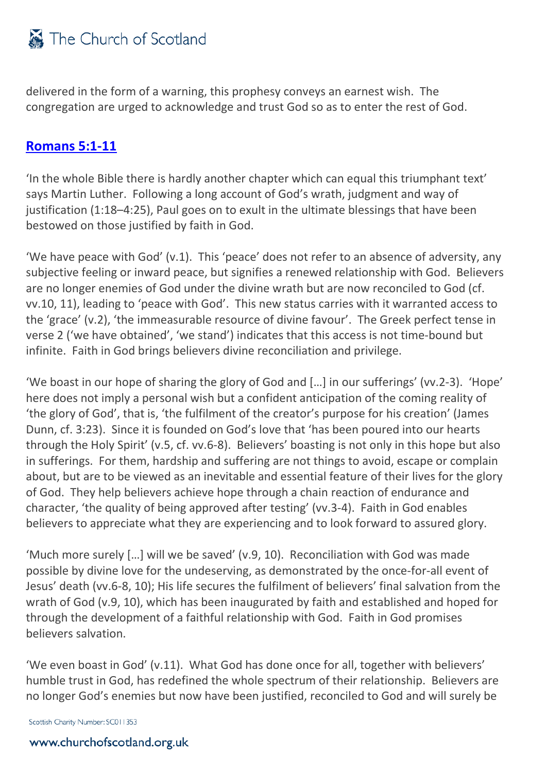delivered in the form of a warning, this prophesy conveys an earnest wish. The congregation are urged to acknowledge and trust God so as to enter the rest of God.

## <span id="page-4-0"></span>**[Romans 5:1-11](http://bible.oremus.org/?ql=443066504)**

'In the whole Bible there is hardly another chapter which can equal this triumphant text' says Martin Luther. Following a long account of God's wrath, judgment and way of justification (1:18–4:25), Paul goes on to exult in the ultimate blessings that have been bestowed on those justified by faith in God.

'We have peace with God' (v.1). This 'peace' does not refer to an absence of adversity, any subjective feeling or inward peace, but signifies a renewed relationship with God. Believers are no longer enemies of God under the divine wrath but are now reconciled to God (cf. vv.10, 11), leading to 'peace with God'. This new status carries with it warranted access to the 'grace' (v.2), 'the immeasurable resource of divine favour'. The Greek perfect tense in verse 2 ('we have obtained', 'we stand') indicates that this access is not time-bound but infinite. Faith in God brings believers divine reconciliation and privilege.

'We boast in our hope of sharing the glory of God and […] in our sufferings' (vv.2-3). 'Hope' here does not imply a personal wish but a confident anticipation of the coming reality of 'the glory of God', that is, 'the fulfilment of the creator's purpose for his creation' (James Dunn, cf. 3:23). Since it is founded on God's love that 'has been poured into our hearts through the Holy Spirit' (v.5, cf. vv.6-8). Believers' boasting is not only in this hope but also in sufferings. For them, hardship and suffering are not things to avoid, escape or complain about, but are to be viewed as an inevitable and essential feature of their lives for the glory of God. They help believers achieve hope through a chain reaction of endurance and character, 'the quality of being approved after testing' (vv.3-4). Faith in God enables believers to appreciate what they are experiencing and to look forward to assured glory.

'Much more surely […] will we be saved' (v.9, 10). Reconciliation with God was made possible by divine love for the undeserving, as demonstrated by the once-for-all event of Jesus' death (vv.6-8, 10); His life secures the fulfilment of believers' final salvation from the wrath of God (v.9, 10), which has been inaugurated by faith and established and hoped for through the development of a faithful relationship with God. Faith in God promises believers salvation.

'We even boast in God' (v.11). What God has done once for all, together with believers' humble trust in God, has redefined the whole spectrum of their relationship. Believers are no longer God's enemies but now have been justified, reconciled to God and will surely be

Scottish Charity Number: SC011353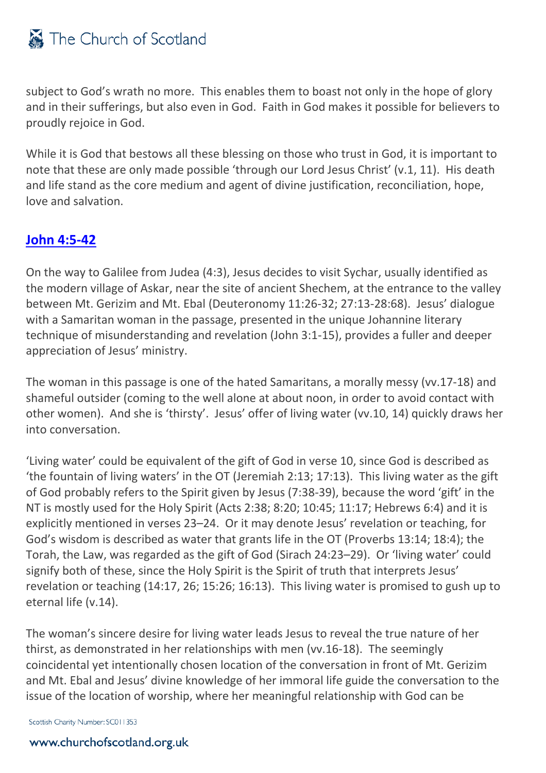subject to God's wrath no more. This enables them to boast not only in the hope of glory and in their sufferings, but also even in God. Faith in God makes it possible for believers to proudly rejoice in God.

While it is God that bestows all these blessing on those who trust in God, it is important to note that these are only made possible 'through our Lord Jesus Christ' (v.1, 11). His death and life stand as the core medium and agent of divine justification, reconciliation, hope, love and salvation.

## <span id="page-5-0"></span>**[John 4:5-42](http://bible.oremus.org/?ql=443068140)**

On the way to Galilee from Judea (4:3), Jesus decides to visit Sychar, usually identified as the modern village of Askar, near the site of ancient Shechem, at the entrance to the valley between Mt. Gerizim and Mt. Ebal (Deuteronomy 11:26-32; 27:13-28:68). Jesus' dialogue with a Samaritan woman in the passage, presented in the unique Johannine literary technique of misunderstanding and revelation (John 3:1-15), provides a fuller and deeper appreciation of Jesus' ministry.

The woman in this passage is one of the hated Samaritans, a morally messy (vv.17-18) and shameful outsider (coming to the well alone at about noon, in order to avoid contact with other women). And she is 'thirsty'. Jesus' offer of living water (vv.10, 14) quickly draws her into conversation.

'Living water' could be equivalent of the gift of God in verse 10, since God is described as 'the fountain of living waters' in the OT (Jeremiah 2:13; 17:13). This living water as the gift of God probably refers to the Spirit given by Jesus (7:38-39), because the word 'gift' in the NT is mostly used for the Holy Spirit (Acts 2:38; 8:20; 10:45; 11:17; Hebrews 6:4) and it is explicitly mentioned in verses 23–24. Or it may denote Jesus' revelation or teaching, for God's wisdom is described as water that grants life in the OT (Proverbs 13:14; 18:4); the Torah, the Law, was regarded as the gift of God (Sirach 24:23–29). Or 'living water' could signify both of these, since the Holy Spirit is the Spirit of truth that interprets Jesus' revelation or teaching (14:17, 26; 15:26; 16:13). This living water is promised to gush up to eternal life (v.14).

The woman's sincere desire for living water leads Jesus to reveal the true nature of her thirst, as demonstrated in her relationships with men (vv.16-18). The seemingly coincidental yet intentionally chosen location of the conversation in front of Mt. Gerizim and Mt. Ebal and Jesus' divine knowledge of her immoral life guide the conversation to the issue of the location of worship, where her meaningful relationship with God can be

Scottish Charity Number: SC011353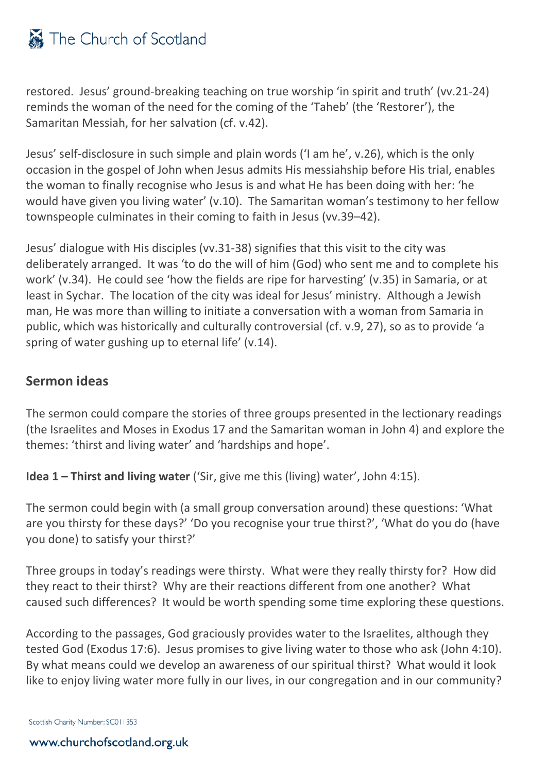restored. Jesus' ground-breaking teaching on true worship 'in spirit and truth' (vv.21-24) reminds the woman of the need for the coming of the 'Taheb' (the 'Restorer'), the Samaritan Messiah, for her salvation (cf. v.42).

Jesus' self-disclosure in such simple and plain words ('I am he', v.26), which is the only occasion in the gospel of John when Jesus admits His messiahship before His trial, enables the woman to finally recognise who Jesus is and what He has been doing with her: 'he would have given you living water' (v.10). The Samaritan woman's testimony to her fellow townspeople culminates in their coming to faith in Jesus (vv.39–42).

Jesus' dialogue with His disciples (vv.31-38) signifies that this visit to the city was deliberately arranged. It was 'to do the will of him (God) who sent me and to complete his work' (v.34). He could see 'how the fields are ripe for harvesting' (v.35) in Samaria, or at least in Sychar. The location of the city was ideal for Jesus' ministry. Although a Jewish man, He was more than willing to initiate a conversation with a woman from Samaria in public, which was historically and culturally controversial (cf. v.9, 27), so as to provide 'a spring of water gushing up to eternal life' (v.14).

## <span id="page-6-0"></span>**Sermon ideas**

The sermon could compare the stories of three groups presented in the lectionary readings (the Israelites and Moses in Exodus 17 and the Samaritan woman in John 4) and explore the themes: 'thirst and living water' and 'hardships and hope'.

**Idea 1 – Thirst and living water** ('Sir, give me this (living) water', John 4:15).

The sermon could begin with (a small group conversation around) these questions: 'What are you thirsty for these days?' 'Do you recognise your true thirst?', 'What do you do (have you done) to satisfy your thirst?'

Three groups in today's readings were thirsty. What were they really thirsty for? How did they react to their thirst? Why are their reactions different from one another? What caused such differences? It would be worth spending some time exploring these questions.

According to the passages, God graciously provides water to the Israelites, although they tested God (Exodus 17:6). Jesus promises to give living water to those who ask (John 4:10). By what means could we develop an awareness of our spiritual thirst? What would it look like to enjoy living water more fully in our lives, in our congregation and in our community?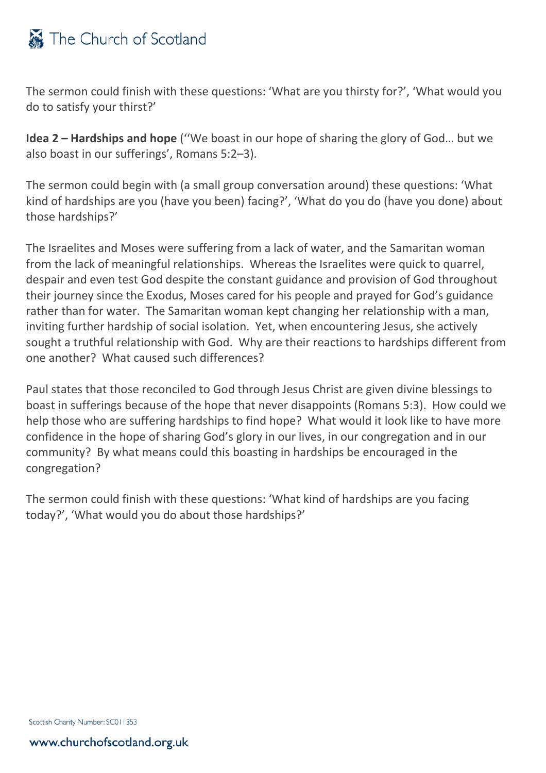

The sermon could finish with these questions: 'What are you thirsty for?', 'What would you do to satisfy your thirst?'

**Idea 2 – Hardships and hope** (''We boast in our hope of sharing the glory of God… but we also boast in our sufferings', Romans 5:2–3).

The sermon could begin with (a small group conversation around) these questions: 'What kind of hardships are you (have you been) facing?', 'What do you do (have you done) about those hardships?'

The Israelites and Moses were suffering from a lack of water, and the Samaritan woman from the lack of meaningful relationships. Whereas the Israelites were quick to quarrel, despair and even test God despite the constant guidance and provision of God throughout their journey since the Exodus, Moses cared for his people and prayed for God's guidance rather than for water. The Samaritan woman kept changing her relationship with a man, inviting further hardship of social isolation. Yet, when encountering Jesus, she actively sought a truthful relationship with God. Why are their reactions to hardships different from one another? What caused such differences?

Paul states that those reconciled to God through Jesus Christ are given divine blessings to boast in sufferings because of the hope that never disappoints (Romans 5:3). How could we help those who are suffering hardships to find hope? What would it look like to have more confidence in the hope of sharing God's glory in our lives, in our congregation and in our community? By what means could this boasting in hardships be encouraged in the congregation?

The sermon could finish with these questions: 'What kind of hardships are you facing today?', 'What would you do about those hardships?'

Scottish Charity Number: SC011353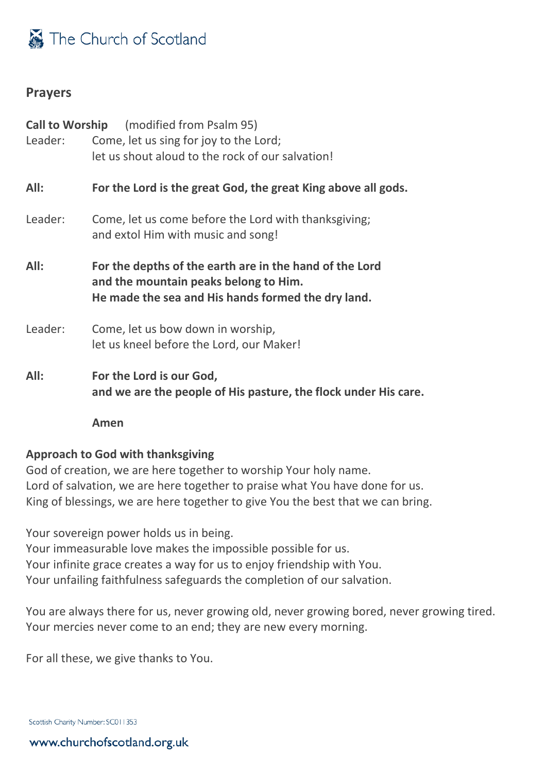### <span id="page-8-0"></span>**Prayers**

|         | <b>Call to Worship</b> (modified from Psalm 95)                                                                                                        |
|---------|--------------------------------------------------------------------------------------------------------------------------------------------------------|
| Leader: | Come, let us sing for joy to the Lord;                                                                                                                 |
|         | let us shout aloud to the rock of our salvation!                                                                                                       |
| All:    | For the Lord is the great God, the great King above all gods.                                                                                          |
| Leader: | Come, let us come before the Lord with thanksgiving;<br>and extol Him with music and song!                                                             |
| All:    | For the depths of the earth are in the hand of the Lord<br>and the mountain peaks belong to Him.<br>He made the sea and His hands formed the dry land. |
| Leader: | Come, let us bow down in worship,<br>let us kneel before the Lord, our Maker!                                                                          |
| All:    | For the Lord is our God,<br>and we are the people of His pasture, the flock under His care.                                                            |

**Amen**

### **Approach to God with thanksgiving**

God of creation, we are here together to worship Your holy name. Lord of salvation, we are here together to praise what You have done for us. King of blessings, we are here together to give You the best that we can bring.

Your sovereign power holds us in being.

Your immeasurable love makes the impossible possible for us. Your infinite grace creates a way for us to enjoy friendship with You. Your unfailing faithfulness safeguards the completion of our salvation.

You are always there for us, never growing old, never growing bored, never growing tired. Your mercies never come to an end; they are new every morning.

For all these, we give thanks to You.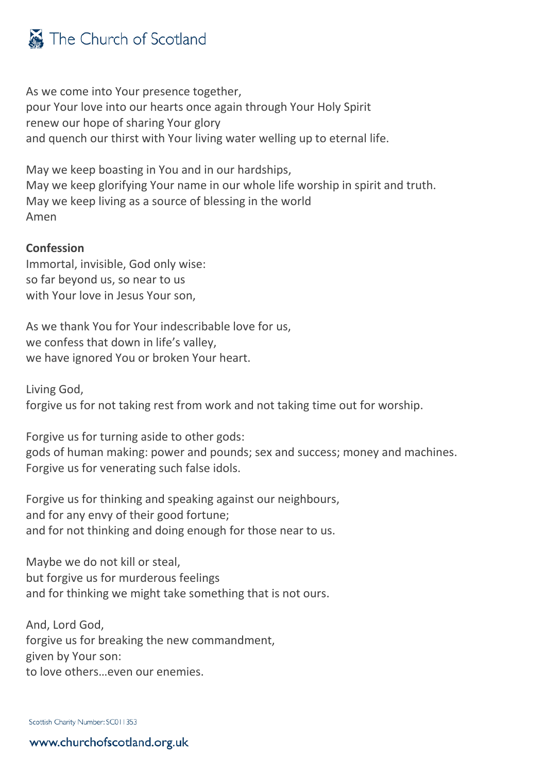As we come into Your presence together, pour Your love into our hearts once again through Your Holy Spirit renew our hope of sharing Your glory and quench our thirst with Your living water welling up to eternal life.

May we keep boasting in You and in our hardships, May we keep glorifying Your name in our whole life worship in spirit and truth. May we keep living as a source of blessing in the world Amen

### **Confession**

Immortal, invisible, God only wise: so far beyond us, so near to us with Your love in Jesus Your son,

As we thank You for Your indescribable love for us, we confess that down in life's valley, we have ignored You or broken Your heart.

Living God, forgive us for not taking rest from work and not taking time out for worship.

Forgive us for turning aside to other gods: gods of human making: power and pounds; sex and success; money and machines. Forgive us for venerating such false idols.

Forgive us for thinking and speaking against our neighbours, and for any envy of their good fortune; and for not thinking and doing enough for those near to us.

Maybe we do not kill or steal, but forgive us for murderous feelings and for thinking we might take something that is not ours.

And, Lord God, forgive us for breaking the new commandment, given by Your son: to love others…even our enemies.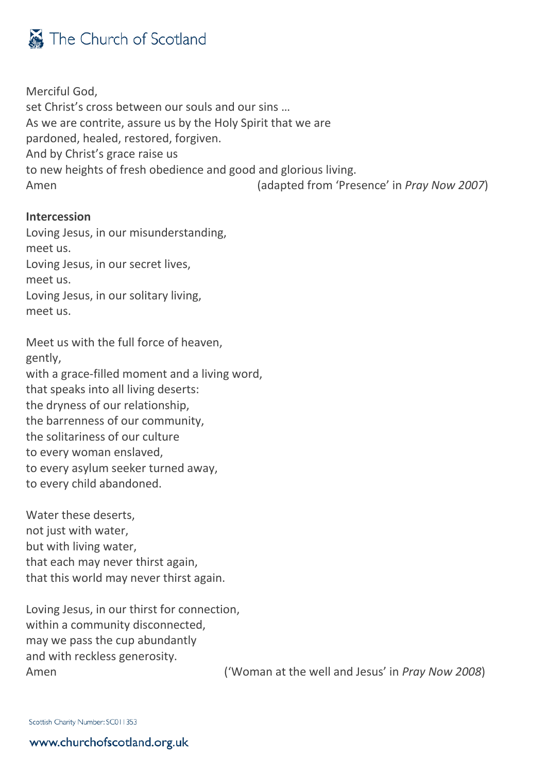Merciful God, set Christ's cross between our souls and our sins … As we are contrite, assure us by the Holy Spirit that we are pardoned, healed, restored, forgiven. And by Christ's grace raise us to new heights of fresh obedience and good and glorious living. Amen (adapted from 'Presence' in *Pray Now 2007*)

### **Intercession**

Loving Jesus, in our misunderstanding, meet us. Loving Jesus, in our secret lives, meet us. Loving Jesus, in our solitary living, meet us.

Meet us with the full force of heaven, gently, with a grace-filled moment and a living word, that speaks into all living deserts: the dryness of our relationship, the barrenness of our community, the solitariness of our culture to every woman enslaved, to every asylum seeker turned away, to every child abandoned.

Water these deserts, not just with water, but with living water, that each may never thirst again, that this world may never thirst again.

Loving Jesus, in our thirst for connection, within a community disconnected, may we pass the cup abundantly and with reckless generosity.

Amen ('Woman at the well and Jesus' in *Pray Now 2008*)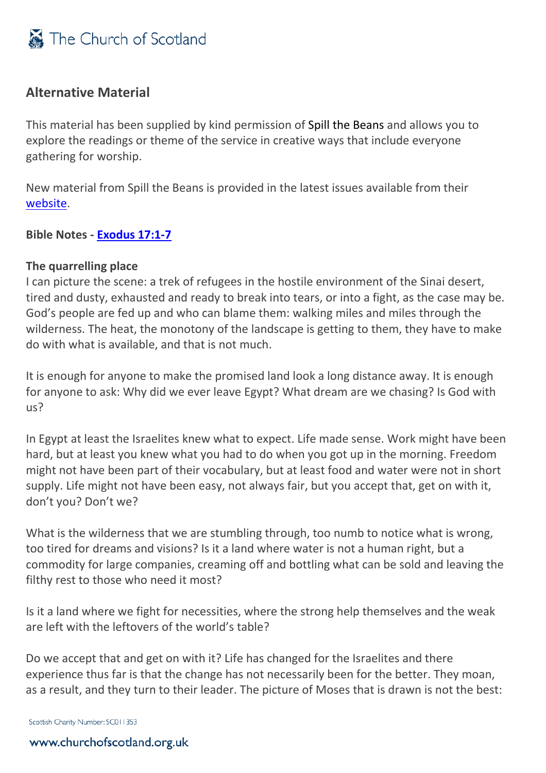

## <span id="page-11-0"></span>**Alternative Material**

This material has been supplied by kind permission of Spill the Beans and allows you to explore the readings or theme of the service in creative ways that include everyone gathering for worship.

New material from Spill the Beans is provided in the latest issues available from their [website.](http://spillbeans.org.uk/)

**Bible Notes - [Exodus 17:1-7](http://bible.oremus.org/?ql=443521309)**

### **The quarrelling place**

I can picture the scene: a trek of refugees in the hostile environment of the Sinai desert, tired and dusty, exhausted and ready to break into tears, or into a fight, as the case may be. God's people are fed up and who can blame them: walking miles and miles through the wilderness. The heat, the monotony of the landscape is getting to them, they have to make do with what is available, and that is not much.

It is enough for anyone to make the promised land look a long distance away. It is enough for anyone to ask: Why did we ever leave Egypt? What dream are we chasing? Is God with us?

In Egypt at least the Israelites knew what to expect. Life made sense. Work might have been hard, but at least you knew what you had to do when you got up in the morning. Freedom might not have been part of their vocabulary, but at least food and water were not in short supply. Life might not have been easy, not always fair, but you accept that, get on with it, don't you? Don't we?

What is the wilderness that we are stumbling through, too numb to notice what is wrong, too tired for dreams and visions? Is it a land where water is not a human right, but a commodity for large companies, creaming off and bottling what can be sold and leaving the filthy rest to those who need it most?

Is it a land where we fight for necessities, where the strong help themselves and the weak are left with the leftovers of the world's table?

Do we accept that and get on with it? Life has changed for the Israelites and there experience thus far is that the change has not necessarily been for the better. They moan, as a result, and they turn to their leader. The picture of Moses that is drawn is not the best: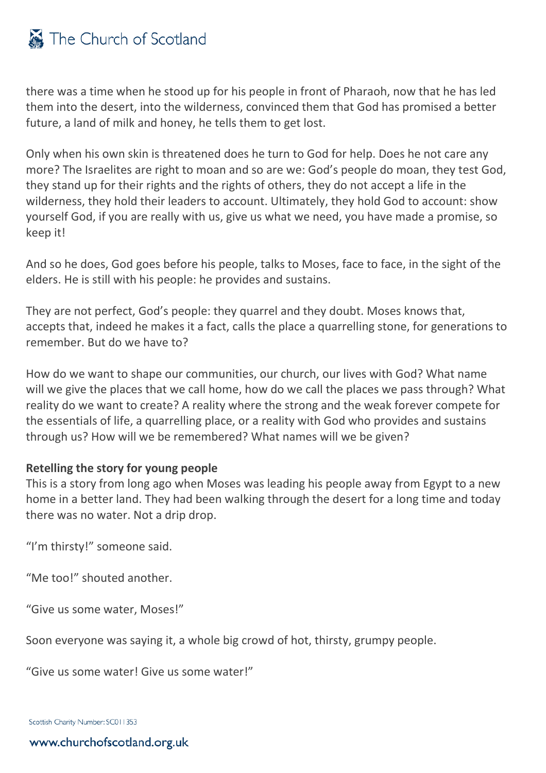there was a time when he stood up for his people in front of Pharaoh, now that he has led them into the desert, into the wilderness, convinced them that God has promised a better future, a land of milk and honey, he tells them to get lost.

Only when his own skin is threatened does he turn to God for help. Does he not care any more? The Israelites are right to moan and so are we: God's people do moan, they test God, they stand up for their rights and the rights of others, they do not accept a life in the wilderness, they hold their leaders to account. Ultimately, they hold God to account: show yourself God, if you are really with us, give us what we need, you have made a promise, so keep it!

And so he does, God goes before his people, talks to Moses, face to face, in the sight of the elders. He is still with his people: he provides and sustains.

They are not perfect, God's people: they quarrel and they doubt. Moses knows that, accepts that, indeed he makes it a fact, calls the place a quarrelling stone, for generations to remember. But do we have to?

How do we want to shape our communities, our church, our lives with God? What name will we give the places that we call home, how do we call the places we pass through? What reality do we want to create? A reality where the strong and the weak forever compete for the essentials of life, a quarrelling place, or a reality with God who provides and sustains through us? How will we be remembered? What names will we be given?

### **Retelling the story for young people**

This is a story from long ago when Moses was leading his people away from Egypt to a new home in a better land. They had been walking through the desert for a long time and today there was no water. Not a drip drop.

"I'm thirsty!" someone said.

"Me too!" shouted another.

"Give us some water, Moses!"

Soon everyone was saying it, a whole big crowd of hot, thirsty, grumpy people.

"Give us some water! Give us some water!"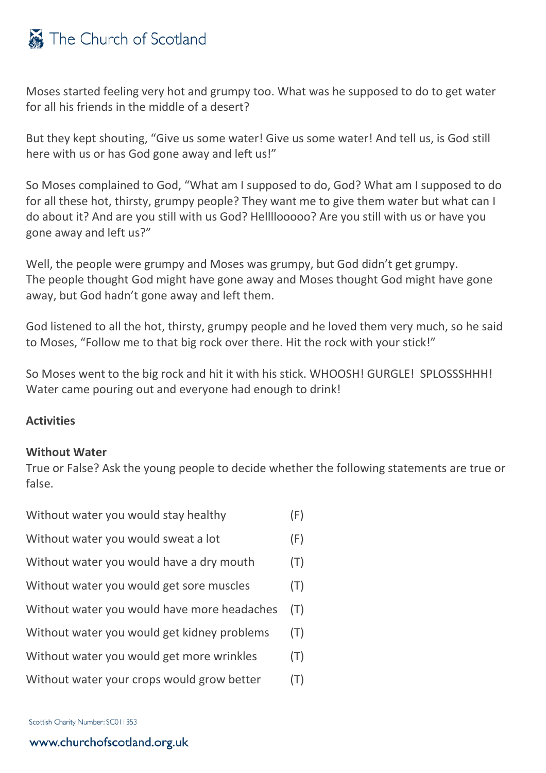

Moses started feeling very hot and grumpy too. What was he supposed to do to get water for all his friends in the middle of a desert?

But they kept shouting, "Give us some water! Give us some water! And tell us, is God still here with us or has God gone away and left us!"

So Moses complained to God, "What am I supposed to do, God? What am I supposed to do for all these hot, thirsty, grumpy people? They want me to give them water but what can I do about it? And are you still with us God? Hellllooooo? Are you still with us or have you gone away and left us?"

Well, the people were grumpy and Moses was grumpy, but God didn't get grumpy. The people thought God might have gone away and Moses thought God might have gone away, but God hadn't gone away and left them.

God listened to all the hot, thirsty, grumpy people and he loved them very much, so he said to Moses, "Follow me to that big rock over there. Hit the rock with your stick!"

So Moses went to the big rock and hit it with his stick. WHOOSH! GURGLE! SPLOSSSHHH! Water came pouring out and everyone had enough to drink!

### **Activities**

#### **Without Water**

True or False? Ask the young people to decide whether the following statements are true or false.

| Without water you would stay healthy        | (F) |
|---------------------------------------------|-----|
| Without water you would sweat a lot         | (F) |
| Without water you would have a dry mouth    | (T) |
| Without water you would get sore muscles    | (T) |
| Without water you would have more headaches | (T) |
| Without water you would get kidney problems | (T) |
| Without water you would get more wrinkles   | (T) |
| Without water your crops would grow better  | (T) |
|                                             |     |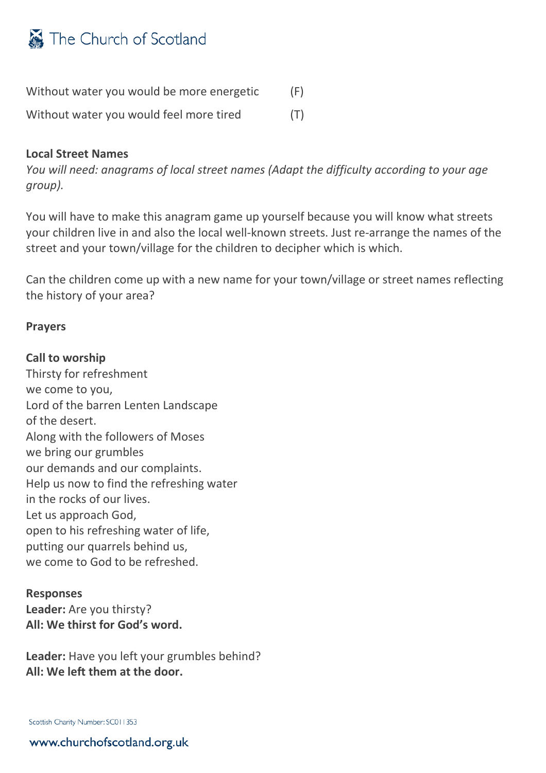

| Without water you would be more energetic | (F) |
|-------------------------------------------|-----|
| Without water you would feel more tired   | (T) |

#### **Local Street Names**

*You will need: anagrams of local street names (Adapt the difficulty according to your age group).*

You will have to make this anagram game up yourself because you will know what streets your children live in and also the local well-known streets. Just re-arrange the names of the street and your town/village for the children to decipher which is which.

Can the children come up with a new name for your town/village or street names reflecting the history of your area?

#### **Prayers**

#### **Call to worship**

Thirsty for refreshment we come to you, Lord of the barren Lenten Landscape of the desert. Along with the followers of Moses we bring our grumbles our demands and our complaints. Help us now to find the refreshing water in the rocks of our lives. Let us approach God, open to his refreshing water of life, putting our quarrels behind us, we come to God to be refreshed.

#### **Responses**

**Leader:** Are you thirsty? **All: We thirst for God's word.**

**Leader:** Have you left your grumbles behind? **All: We left them at the door.**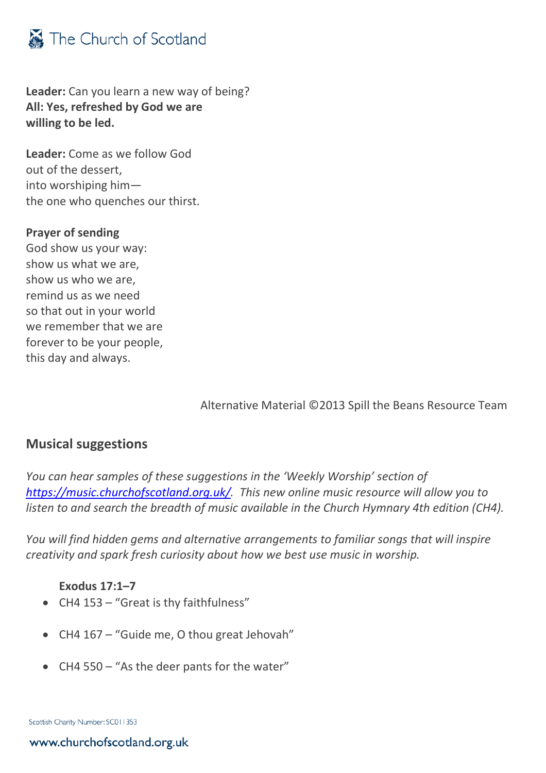

**Leader:** Can you learn a new way of being? **All: Yes, refreshed by God we are willing to be led.**

**Leader:** Come as we follow God out of the dessert, into worshiping him the one who quenches our thirst.

#### **Prayer of sending**

God show us your way: show us what we are, show us who we are, remind us as we need so that out in your world we remember that we are forever to be your people, this day and always.

Alternative Material ©2013 Spill the Beans Resource Team

## <span id="page-15-0"></span>**Musical suggestions**

*You can hear samples of these suggestions in the 'Weekly Worship' section of [https://music.churchofscotland.org.uk/.](https://music.churchofscotland.org.uk/) This new online music resource will allow you to listen to and search the breadth of music available in the Church Hymnary 4th edition (CH4).* 

*You will find hidden gems and alternative arrangements to familiar songs that will inspire creativity and spark fresh curiosity about how we best use music in worship.*

### **Exodus 17:1–7**

- CH4 153 "Great is thy faithfulness"
- CH4 167 "Guide me, O thou great Jehovah"
- CH4 550 "As the deer pants for the water"